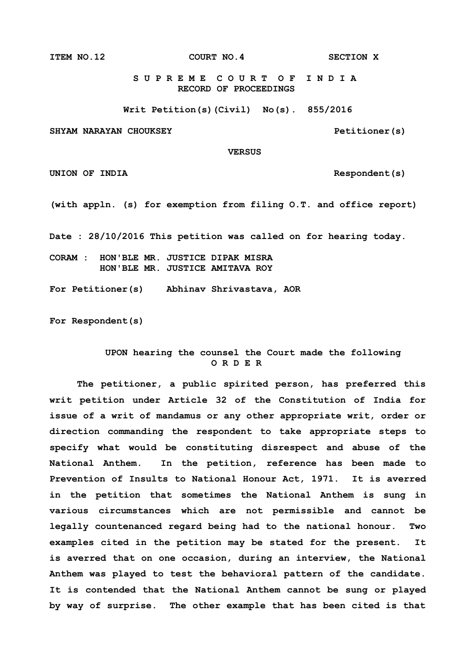**ITEM NO.12 COURT NO.4 SECTION X**

 **S U P R E M E C O U R T O F I N D I A RECORD OF PROCEEDINGS**

**Writ Petition(s)(Civil) No(s). 855/2016**

**SHYAM NARAYAN CHOUKSEY Petitioner(s)**

 **VERSUS**

UNION OF INDIA **Respondent**(s)

**(with appln. (s) for exemption from filing O.T. and office report)**

**Date : 28/10/2016 This petition was called on for hearing today.**

**CORAM : HON'BLE MR. JUSTICE DIPAK MISRA HON'BLE MR. JUSTICE AMITAVA ROY**

**For Petitioner(s) Abhinav Shrivastava, AOR**

**For Respondent(s)**

## **UPON hearing the counsel the Court made the following O R D E R**

**The petitioner, a public spirited person, has preferred this writ petition under Article 32 of the Constitution of India for issue of a writ of mandamus or any other appropriate writ, order or direction commanding the respondent to take appropriate steps to specify what would be constituting disrespect and abuse of the National Anthem. In the petition, reference has been made to Prevention of Insults to National Honour Act, 1971. It is averred in the petition that sometimes the National Anthem is sung in various circumstances which are not permissible and cannot be legally countenanced regard being had to the national honour. Two examples cited in the petition may be stated for the present. It is averred that on one occasion, during an interview, the National Anthem was played to test the behavioral pattern of the candidate. It is contended that the National Anthem cannot be sung or played by way of surprise. The other example that has been cited is that**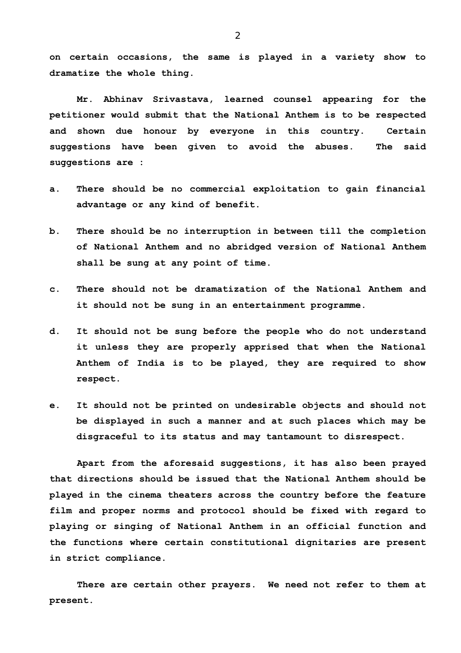**on certain occasions, the same is played in a variety show to dramatize the whole thing.**

**Mr. Abhinav Srivastava, learned counsel appearing for the petitioner would submit that the National Anthem is to be respected and shown due honour by everyone in this country. Certain suggestions have been given to avoid the abuses. The said suggestions are :**

- **a. There should be no commercial exploitation to gain financial advantage or any kind of benefit.**
- **b. There should be no interruption in between till the completion of National Anthem and no abridged version of National Anthem shall be sung at any point of time.**
- **c. There should not be dramatization of the National Anthem and it should not be sung in an entertainment programme.**
- **d. It should not be sung before the people who do not understand it unless they are properly apprised that when the National Anthem of India is to be played, they are required to show respect.**
- **e. It should not be printed on undesirable objects and should not be displayed in such a manner and at such places which may be disgraceful to its status and may tantamount to disrespect.**

**Apart from the aforesaid suggestions, it has also been prayed that directions should be issued that the National Anthem should be played in the cinema theaters across the country before the feature film and proper norms and protocol should be fixed with regard to playing or singing of National Anthem in an official function and the functions where certain constitutional dignitaries are present in strict compliance.** 

**There are certain other prayers. We need not refer to them at present.**

2